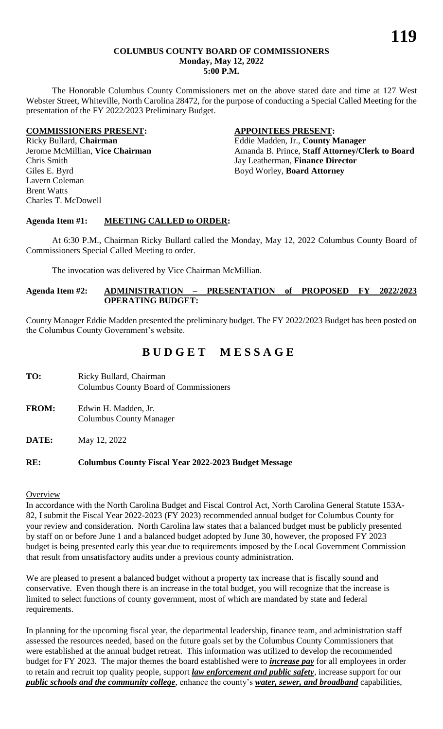#### **COLUMBUS COUNTY BOARD OF COMMISSIONERS Monday, May 12, 2022 5:00 P.M.**

The Honorable Columbus County Commissioners met on the above stated date and time at 127 West Webster Street, Whiteville, North Carolina 28472, for the purpose of conducting a Special Called Meeting for the presentation of the FY 2022/2023 Preliminary Budget.

#### **COMMISSIONERS PRESENT: APPOINTEES PRESENT:**

Chris Smith Jay Leatherman, **Finance Director** Giles E. Byrd **Boyd Worley**, **Board Attorney** Lavern Coleman Brent Watts Charles T. McDowell

Ricky Bullard, **Chairman** Eddie Madden, Jr., **County Manager** Jerome McMillian, Vice Chairman Amanda B. Prince, Staff Attorney/Clerk to Board

## **Agenda Item #1: MEETING CALLED to ORDER:**

At 6:30 P.M., Chairman Ricky Bullard called the Monday, May 12, 2022 Columbus County Board of Commissioners Special Called Meeting to order.

The invocation was delivered by Vice Chairman McMillian.

## **Agenda Item #2: ADMINISTRATION – PRESENTATION of PROPOSED FY 2022/2023 OPERATING BUDGET:**

County Manager Eddie Madden presented the preliminary budget. The FY 2022/2023 Budget has been posted on the Columbus County Government's website.

# **B U D G E T M E S S A G E**

- TO: Ricky Bullard, Chairman Columbus County Board of Commissioners
- **FROM:** Edwin H. Madden, Jr. Columbus County Manager
- **DATE:** May 12, 2022

## **RE: Columbus County Fiscal Year 2022-2023 Budget Message**

## **Overview**

In accordance with the North Carolina Budget and Fiscal Control Act, North Carolina General Statute 153A-82, I submit the Fiscal Year 2022-2023 (FY 2023) recommended annual budget for Columbus County for your review and consideration. North Carolina law states that a balanced budget must be publicly presented by staff on or before June 1 and a balanced budget adopted by June 30, however, the proposed FY 2023 budget is being presented early this year due to requirements imposed by the Local Government Commission that result from unsatisfactory audits under a previous county administration.

We are pleased to present a balanced budget without a property tax increase that is fiscally sound and conservative. Even though there is an increase in the total budget, you will recognize that the increase is limited to select functions of county government, most of which are mandated by state and federal requirements.

In planning for the upcoming fiscal year, the departmental leadership, finance team, and administration staff assessed the resources needed, based on the future goals set by the Columbus County Commissioners that were established at the annual budget retreat. This information was utilized to develop the recommended budget for FY 2023. The major themes the board established were to *increase pay* for all employees in order to retain and recruit top quality people, support *law enforcement and public safety*, increase support for our *public schools and the community college*, enhance the county's *water, sewer, and broadband* capabilities,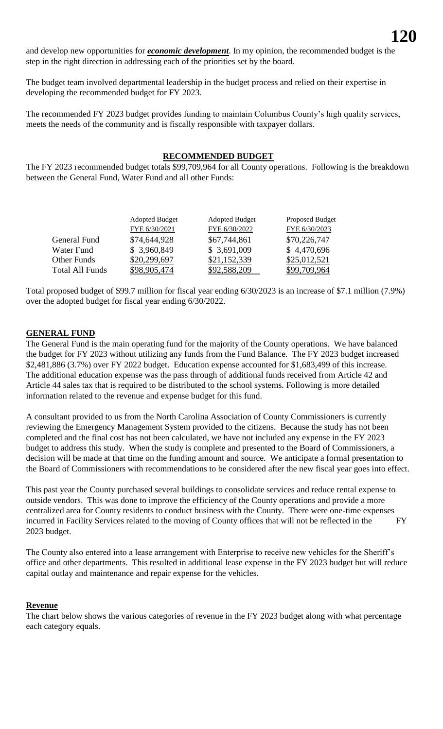and develop new opportunities for *economic development*. In my opinion, the recommended budget is the step in the right direction in addressing each of the priorities set by the board.

The budget team involved departmental leadership in the budget process and relied on their expertise in developing the recommended budget for FY 2023.

The recommended FY 2023 budget provides funding to maintain Columbus County's high quality services, meets the needs of the community and is fiscally responsible with taxpayer dollars.

#### **RECOMMENDED BUDGET**

The FY 2023 recommended budget totals \$99,709,964 for all County operations. Following is the breakdown between the General Fund, Water Fund and all other Funds:

| <b>Adopted Budget</b> | <b>Adopted Budget</b> | Proposed Budget |
|-----------------------|-----------------------|-----------------|
| FYE 6/30/2021         | FYE 6/30/2022         | FYE 6/30/2023   |
| \$74,644,928          | \$67,744,861          | \$70,226,747    |
| \$ 3,960,849          | \$3,691,009           | \$4,470,696     |
| \$20,299,697          | \$21,152,339          | \$25,012,521    |
| \$98,905,474          | \$92,588,209          | \$99,709,964    |
|                       |                       |                 |

Total proposed budget of \$99.7 million for fiscal year ending 6/30/2023 is an increase of \$7.1 million (7.9%) over the adopted budget for fiscal year ending 6/30/2022.

#### **GENERAL FUND**

The General Fund is the main operating fund for the majority of the County operations. We have balanced the budget for FY 2023 without utilizing any funds from the Fund Balance. The FY 2023 budget increased \$2,481,886 (3.7%) over FY 2022 budget. Education expense accounted for \$1,683,499 of this increase. The additional education expense was the pass through of additional funds received from Article 42 and Article 44 sales tax that is required to be distributed to the school systems. Following is more detailed information related to the revenue and expense budget for this fund.

A consultant provided to us from the North Carolina Association of County Commissioners is currently reviewing the Emergency Management System provided to the citizens. Because the study has not been completed and the final cost has not been calculated, we have not included any expense in the FY 2023 budget to address this study. When the study is complete and presented to the Board of Commissioners, a decision will be made at that time on the funding amount and source. We anticipate a formal presentation to the Board of Commissioners with recommendations to be considered after the new fiscal year goes into effect.

This past year the County purchased several buildings to consolidate services and reduce rental expense to outside vendors. This was done to improve the efficiency of the County operations and provide a more centralized area for County residents to conduct business with the County. There were one-time expenses incurred in Facility Services related to the moving of County offices that will not be reflected in the FY 2023 budget.

The County also entered into a lease arrangement with Enterprise to receive new vehicles for the Sheriff's office and other departments. This resulted in additional lease expense in the FY 2023 budget but will reduce capital outlay and maintenance and repair expense for the vehicles.

#### **Revenue**

The chart below shows the various categories of revenue in the FY 2023 budget along with what percentage each category equals.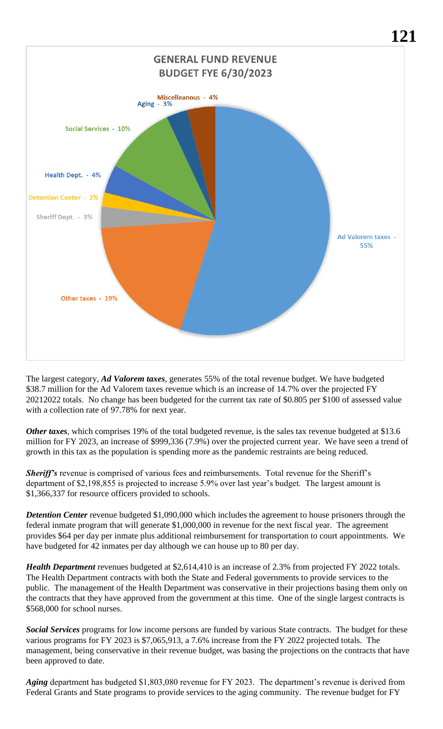

The largest category, *Ad Valorem taxes*, generates 55% of the total revenue budget. We have budgeted \$38.7 million for the Ad Valorem taxes revenue which is an increase of 14.7% over the projected FY 20212022 totals. No change has been budgeted for the current tax rate of \$0.805 per \$100 of assessed value with a collection rate of 97.78% for next year.

*Other taxes*, which comprises 19% of the total budgeted revenue, is the sales tax revenue budgeted at \$13.6 million for FY 2023, an increase of \$999,336 (7.9%) over the projected current year. We have seen a trend of growth in this tax as the population is spending more as the pandemic restraints are being reduced.

*Sheriff's* revenue is comprised of various fees and reimbursements. Total revenue for the Sheriff's department of \$2,198,855 is projected to increase 5.9% over last year's budget. The largest amount is \$1,366,337 for resource officers provided to schools.

*Detention Center* revenue budgeted \$1,090,000 which includes the agreement to house prisoners through the federal inmate program that will generate \$1,000,000 in revenue for the next fiscal year. The agreement provides \$64 per day per inmate plus additional reimbursement for transportation to court appointments. We have budgeted for 42 inmates per day although we can house up to 80 per day.

*Health Department* revenues budgeted at \$2,614,410 is an increase of 2.3% from projected FY 2022 totals. The Health Department contracts with both the State and Federal governments to provide services to the public. The management of the Health Department was conservative in their projections basing them only on the contracts that they have approved from the government at this time. One of the single largest contracts is \$568,000 for school nurses.

*Social Services* programs for low income persons are funded by various State contracts. The budget for these various programs for FY 2023 is \$7,065,913, a 7.6% increase from the FY 2022 projected totals. The management, being conservative in their revenue budget, was basing the projections on the contracts that have been approved to date.

*Aging* department has budgeted \$1,803,080 revenue for FY 2023. The department's revenue is derived from Federal Grants and State programs to provide services to the aging community. The revenue budget for FY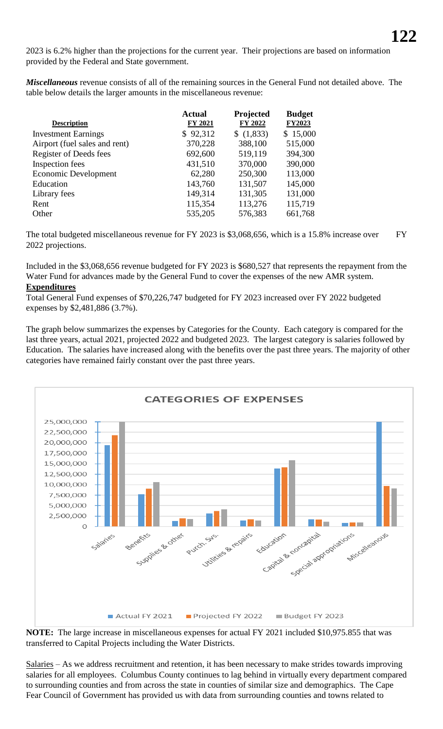2023 is 6.2% higher than the projections for the current year. Their projections are based on information provided by the Federal and State government.

*Miscellaneous* revenue consists of all of the remaining sources in the General Fund not detailed above. The table below details the larger amounts in the miscellaneous revenue:

| <b>Description</b>            | <b>Actual</b><br>FY 2021 | Projected<br>FY 2022 | <b>Budget</b><br>FY2023 |
|-------------------------------|--------------------------|----------------------|-------------------------|
| <b>Investment Earnings</b>    | \$92,312                 | \$(1,833)            | \$15,000                |
| Airport (fuel sales and rent) | 370,228                  | 388,100              | 515,000                 |
| Register of Deeds fees        | 692,600                  | 519,119              | 394,300                 |
| Inspection fees               | 431,510                  | 370,000              | 390,000                 |
| <b>Economic Development</b>   | 62,280                   | 250,300              | 113,000                 |
| Education                     | 143,760                  | 131,507              | 145,000                 |
| Library fees                  | 149,314                  | 131,305              | 131,000                 |
| Rent                          | 115,354                  | 113,276              | 115,719                 |
| Other                         | 535,205                  | 576,383              | 661,768                 |

The total budgeted miscellaneous revenue for FY 2023 is \$3,068,656, which is a 15.8% increase over FY 2022 projections.

Included in the \$3,068,656 revenue budgeted for FY 2023 is \$680,527 that represents the repayment from the Water Fund for advances made by the General Fund to cover the expenses of the new AMR system. **Expenditures**

Total General Fund expenses of \$70,226,747 budgeted for FY 2023 increased over FY 2022 budgeted expenses by \$2,481,886 (3.7%).

The graph below summarizes the expenses by Categories for the County. Each category is compared for the last three years, actual 2021, projected 2022 and budgeted 2023. The largest category is salaries followed by Education. The salaries have increased along with the benefits over the past three years. The majority of other categories have remained fairly constant over the past three years.



**NOTE:** The large increase in miscellaneous expenses for actual FY 2021 included \$10,975.855 that was transferred to Capital Projects including the Water Districts.

Salaries – As we address recruitment and retention, it has been necessary to make strides towards improving salaries for all employees. Columbus County continues to lag behind in virtually every department compared to surrounding counties and from across the state in counties of similar size and demographics. The Cape Fear Council of Government has provided us with data from surrounding counties and towns related to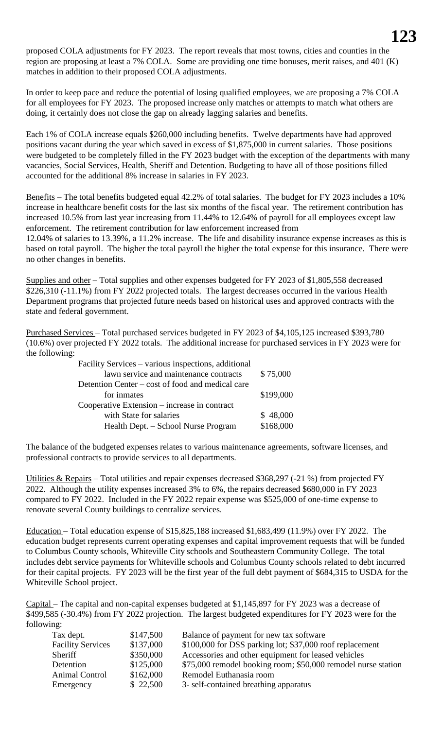proposed COLA adjustments for FY 2023. The report reveals that most towns, cities and counties in the region are proposing at least a 7% COLA. Some are providing one time bonuses, merit raises, and 401 (K) matches in addition to their proposed COLA adjustments.

In order to keep pace and reduce the potential of losing qualified employees, we are proposing a 7% COLA for all employees for FY 2023. The proposed increase only matches or attempts to match what others are doing, it certainly does not close the gap on already lagging salaries and benefits.

Each 1% of COLA increase equals \$260,000 including benefits. Twelve departments have had approved positions vacant during the year which saved in excess of \$1,875,000 in current salaries. Those positions were budgeted to be completely filled in the FY 2023 budget with the exception of the departments with many vacancies, Social Services, Health, Sheriff and Detention. Budgeting to have all of those positions filled accounted for the additional 8% increase in salaries in FY 2023.

Benefits – The total benefits budgeted equal 42.2% of total salaries. The budget for FY 2023 includes a 10% increase in healthcare benefit costs for the last six months of the fiscal year. The retirement contribution has increased 10.5% from last year increasing from 11.44% to 12.64% of payroll for all employees except law enforcement. The retirement contribution for law enforcement increased from 12.04% of salaries to 13.39%, a 11.2% increase. The life and disability insurance expense increases as this is based on total payroll. The higher the total payroll the higher the total expense for this insurance. There were no other changes in benefits.

Supplies and other – Total supplies and other expenses budgeted for FY 2023 of \$1,805,558 decreased \$226,310 (-11.1%) from FY 2022 projected totals. The largest decreases occurred in the various Health Department programs that projected future needs based on historical uses and approved contracts with the state and federal government.

Purchased Services – Total purchased services budgeted in FY 2023 of \$4,105,125 increased \$393,780 (10.6%) over projected FY 2022 totals. The additional increase for purchased services in FY 2023 were for the following:

| \$75,000  |
|-----------|
|           |
| \$199,000 |
|           |
| \$48,000  |
| \$168,000 |
|           |

The balance of the budgeted expenses relates to various maintenance agreements, software licenses, and professional contracts to provide services to all departments.

Utilities & Repairs – Total utilities and repair expenses decreased \$368,297 (-21 %) from projected FY 2022. Although the utility expenses increased 3% to 6%, the repairs decreased \$680,000 in FY 2023 compared to FY 2022. Included in the FY 2022 repair expense was \$525,000 of one-time expense to renovate several County buildings to centralize services.

Education – Total education expense of \$15,825,188 increased \$1,683,499 (11.9%) over FY 2022. The education budget represents current operating expenses and capital improvement requests that will be funded to Columbus County schools, Whiteville City schools and Southeastern Community College. The total includes debt service payments for Whiteville schools and Columbus County schools related to debt incurred for their capital projects. FY 2023 will be the first year of the full debt payment of \$684,315 to USDA for the Whiteville School project.

Capital – The capital and non-capital expenses budgeted at \$1,145,897 for FY 2023 was a decrease of \$499,585 (-30.4%) from FY 2022 projection. The largest budgeted expenditures for FY 2023 were for the following:

| Tax dept.                | \$147,500 | Balance of payment for new tax software                       |
|--------------------------|-----------|---------------------------------------------------------------|
| <b>Facility Services</b> | \$137,000 | \$100,000 for DSS parking lot; \$37,000 roof replacement      |
| Sheriff                  | \$350,000 | Accessories and other equipment for leased vehicles           |
| Detention                | \$125,000 | \$75,000 remodel booking room; \$50,000 remodel nurse station |
| Animal Control           | \$162,000 | Remodel Euthanasia room                                       |
| Emergency                | \$22,500  | 3- self-contained breathing apparatus                         |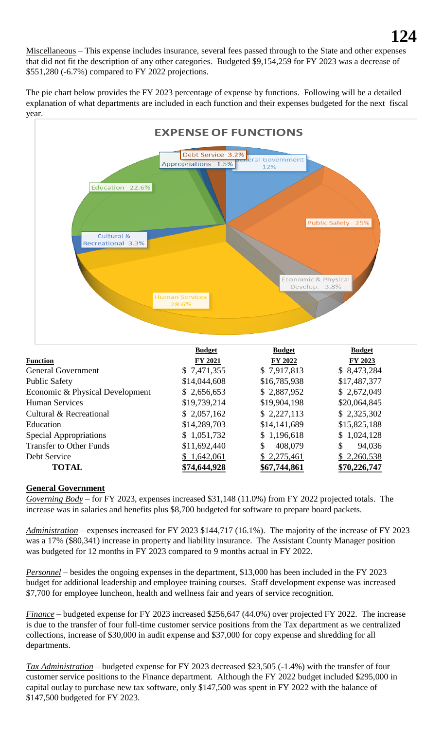Miscellaneous – This expense includes insurance, several fees passed through to the State and other expenses that did not fit the description of any other categories. Budgeted \$9,154,259 for FY 2023 was a decrease of \$551,280 (-6.7%) compared to FY 2022 projections.

The pie chart below provides the FY 2023 percentage of expense by functions. Following will be a detailed explanation of what departments are included in each function and their expenses budgeted for the next fiscal year.



|                                 | <b>Budget</b> | <b>Budget</b> | <b>Budget</b>       |
|---------------------------------|---------------|---------------|---------------------|
| <b>Function</b>                 | FY 2021       | FY 2022       | FY 2023             |
| <b>General Government</b>       | \$7,471,355   | \$7,917,813   | \$8,473,284         |
| <b>Public Safety</b>            | \$14,044,608  | \$16,785,938  | \$17,487,377        |
| Economic & Physical Development | \$2,656,653   | \$2,887,952   | \$2,672,049         |
| <b>Human Services</b>           | \$19,739,214  | \$19,904,198  | \$20,064,845        |
| Cultural & Recreational         | \$2,057,162   | \$2,227,113   | \$2,325,302         |
| Education                       | \$14,289,703  | \$14,141,689  | \$15,825,188        |
| Special Appropriations          | \$1,051,732   | \$1,196,618   | \$1,024,128         |
| <b>Transfer to Other Funds</b>  | \$11,692,440  | 408,079<br>\$ | 94,036<br>S         |
| Debt Service                    | \$1,642,061   | \$2,275,461   | \$2,260,538         |
| <b>TOTAL</b>                    | \$74,644,928  | \$67,744,861  | <u>\$70,226,747</u> |

## **General Government**

*Governing Body* – for FY 2023, expenses increased \$31,148 (11.0%) from FY 2022 projected totals. The increase was in salaries and benefits plus \$8,700 budgeted for software to prepare board packets.

*Administration* – expenses increased for FY 2023 \$144,717 (16.1%). The majority of the increase of FY 2023 was a 17% (\$80,341) increase in property and liability insurance. The Assistant County Manager position was budgeted for 12 months in FY 2023 compared to 9 months actual in FY 2022.

*Personnel* – besides the ongoing expenses in the department, \$13,000 has been included in the FY 2023 budget for additional leadership and employee training courses. Staff development expense was increased \$7,700 for employee luncheon, health and wellness fair and years of service recognition.

*Finance* – budgeted expense for FY 2023 increased \$256,647 (44.0%) over projected FY 2022. The increase is due to the transfer of four full-time customer service positions from the Tax department as we centralized collections, increase of \$30,000 in audit expense and \$37,000 for copy expense and shredding for all departments.

*Tax Administration* – budgeted expense for FY 2023 decreased \$23,505 (-1.4%) with the transfer of four customer service positions to the Finance department. Although the FY 2022 budget included \$295,000 in capital outlay to purchase new tax software, only \$147,500 was spent in FY 2022 with the balance of \$147,500 budgeted for FY 2023.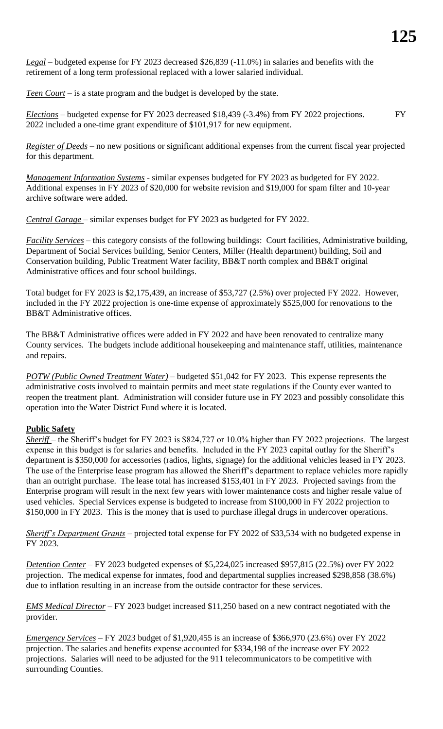*Legal* – budgeted expense for FY 2023 decreased \$26,839 (-11.0%) in salaries and benefits with the retirement of a long term professional replaced with a lower salaried individual.

*Teen Court* – is a state program and the budget is developed by the state.

*Elections* – budgeted expense for FY 2023 decreased \$18,439 (-3.4%) from FY 2022 projections. FY 2022 included a one-time grant expenditure of \$101,917 for new equipment.

*Register of Deeds* – no new positions or significant additional expenses from the current fiscal year projected for this department.

*Management Information Systems* - similar expenses budgeted for FY 2023 as budgeted for FY 2022. Additional expenses in FY 2023 of \$20,000 for website revision and \$19,000 for spam filter and 10-year archive software were added.

*Central Garage* – similar expenses budget for FY 2023 as budgeted for FY 2022.

*Facility Services* – this category consists of the following buildings: Court facilities, Administrative building, Department of Social Services building, Senior Centers, Miller (Health department) building, Soil and Conservation building, Public Treatment Water facility, BB&T north complex and BB&T original Administrative offices and four school buildings.

Total budget for FY 2023 is \$2,175,439, an increase of \$53,727 (2.5%) over projected FY 2022. However, included in the FY 2022 projection is one-time expense of approximately \$525,000 for renovations to the BB&T Administrative offices.

The BB&T Administrative offices were added in FY 2022 and have been renovated to centralize many County services. The budgets include additional housekeeping and maintenance staff, utilities, maintenance and repairs.

*POTW (Public Owned Treatment Water)* – budgeted \$51,042 for FY 2023. This expense represents the administrative costs involved to maintain permits and meet state regulations if the County ever wanted to reopen the treatment plant. Administration will consider future use in FY 2023 and possibly consolidate this operation into the Water District Fund where it is located.

## **Public Safety**

*Sheriff* – the Sheriff's budget for FY 2023 is \$824,727 or 10.0% higher than FY 2022 projections. The largest expense in this budget is for salaries and benefits. Included in the FY 2023 capital outlay for the Sheriff's department is \$350,000 for accessories (radios, lights, signage) for the additional vehicles leased in FY 2023. The use of the Enterprise lease program has allowed the Sheriff's department to replace vehicles more rapidly than an outright purchase. The lease total has increased \$153,401 in FY 2023. Projected savings from the Enterprise program will result in the next few years with lower maintenance costs and higher resale value of used vehicles. Special Services expense is budgeted to increase from \$100,000 in FY 2022 projection to \$150,000 in FY 2023. This is the money that is used to purchase illegal drugs in undercover operations.

*Sheriff's Department Grants* – projected total expense for FY 2022 of \$33,534 with no budgeted expense in FY 2023.

*Detention Center* – FY 2023 budgeted expenses of \$5,224,025 increased \$957,815 (22.5%) over FY 2022 projection. The medical expense for inmates, food and departmental supplies increased \$298,858 (38.6%) due to inflation resulting in an increase from the outside contractor for these services.

*EMS Medical Director* – FY 2023 budget increased \$11,250 based on a new contract negotiated with the provider.

*Emergency Services* – FY 2023 budget of \$1,920,455 is an increase of \$366,970 (23.6%) over FY 2022 projection. The salaries and benefits expense accounted for \$334,198 of the increase over FY 2022 projections. Salaries will need to be adjusted for the 911 telecommunicators to be competitive with surrounding Counties.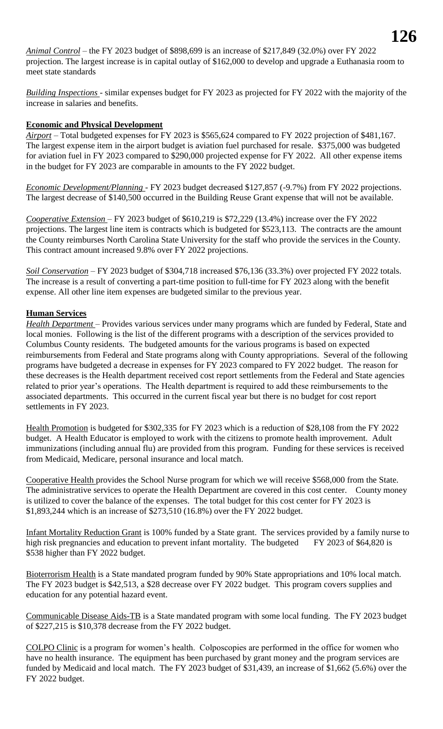*Animal Control* – the FY 2023 budget of \$898,699 is an increase of \$217,849 (32.0%) over FY 2022 projection. The largest increase is in capital outlay of \$162,000 to develop and upgrade a Euthanasia room to meet state standards

*Building Inspections* - similar expenses budget for FY 2023 as projected for FY 2022 with the majority of the increase in salaries and benefits.

## **Economic and Physical Development**

*Airport* – Total budgeted expenses for FY 2023 is \$565,624 compared to FY 2022 projection of \$481,167. The largest expense item in the airport budget is aviation fuel purchased for resale. \$375,000 was budgeted for aviation fuel in FY 2023 compared to \$290,000 projected expense for FY 2022. All other expense items in the budget for FY 2023 are comparable in amounts to the FY 2022 budget.

*Economic Development/Planning* - FY 2023 budget decreased \$127,857 (-9.7%) from FY 2022 projections. The largest decrease of \$140,500 occurred in the Building Reuse Grant expense that will not be available.

*Cooperative Extension* – FY 2023 budget of \$610,219 is \$72,229 (13.4%) increase over the FY 2022 projections. The largest line item is contracts which is budgeted for \$523,113. The contracts are the amount the County reimburses North Carolina State University for the staff who provide the services in the County. This contract amount increased 9.8% over FY 2022 projections.

*Soil Conservation* – FY 2023 budget of \$304,718 increased \$76,136 (33.3%) over projected FY 2022 totals. The increase is a result of converting a part-time position to full-time for FY 2023 along with the benefit expense. All other line item expenses are budgeted similar to the previous year.

#### **Human Services**

*Health Department* – Provides various services under many programs which are funded by Federal, State and local monies. Following is the list of the different programs with a description of the services provided to Columbus County residents. The budgeted amounts for the various programs is based on expected reimbursements from Federal and State programs along with County appropriations. Several of the following programs have budgeted a decrease in expenses for FY 2023 compared to FY 2022 budget. The reason for these decreases is the Health department received cost report settlements from the Federal and State agencies related to prior year's operations. The Health department is required to add these reimbursements to the associated departments. This occurred in the current fiscal year but there is no budget for cost report settlements in FY 2023.

Health Promotion is budgeted for \$302,335 for FY 2023 which is a reduction of \$28,108 from the FY 2022 budget. A Health Educator is employed to work with the citizens to promote health improvement. Adult immunizations (including annual flu) are provided from this program. Funding for these services is received from Medicaid, Medicare, personal insurance and local match.

Cooperative Health provides the School Nurse program for which we will receive \$568,000 from the State. The administrative services to operate the Health Department are covered in this cost center. County money is utilized to cover the balance of the expenses. The total budget for this cost center for FY 2023 is \$1,893,244 which is an increase of \$273,510 (16.8%) over the FY 2022 budget.

Infant Mortality Reduction Grant is 100% funded by a State grant. The services provided by a family nurse to high risk pregnancies and education to prevent infant mortality. The budgeted FY 2023 of \$64,820 is \$538 higher than FY 2022 budget.

Bioterrorism Health is a State mandated program funded by 90% State appropriations and 10% local match. The FY 2023 budget is \$42,513, a \$28 decrease over FY 2022 budget. This program covers supplies and education for any potential hazard event.

Communicable Disease Aids-TB is a State mandated program with some local funding. The FY 2023 budget of \$227,215 is \$10,378 decrease from the FY 2022 budget.

COLPO Clinic is a program for women's health. Colposcopies are performed in the office for women who have no health insurance. The equipment has been purchased by grant money and the program services are funded by Medicaid and local match. The FY 2023 budget of \$31,439, an increase of \$1,662 (5.6%) over the FY 2022 budget.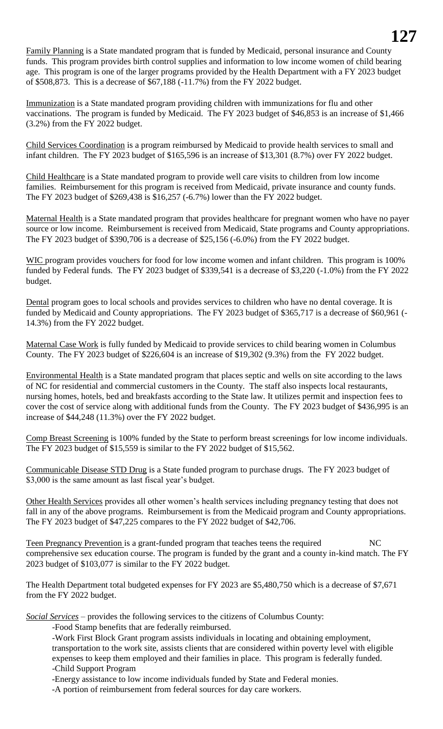Family Planning is a State mandated program that is funded by Medicaid, personal insurance and County funds. This program provides birth control supplies and information to low income women of child bearing age. This program is one of the larger programs provided by the Health Department with a FY 2023 budget of \$508,873. This is a decrease of \$67,188 (-11.7%) from the FY 2022 budget.

Immunization is a State mandated program providing children with immunizations for flu and other vaccinations. The program is funded by Medicaid. The FY 2023 budget of \$46,853 is an increase of \$1,466 (3.2%) from the FY 2022 budget.

Child Services Coordination is a program reimbursed by Medicaid to provide health services to small and infant children. The FY 2023 budget of \$165,596 is an increase of \$13,301 (8.7%) over FY 2022 budget.

Child Healthcare is a State mandated program to provide well care visits to children from low income families. Reimbursement for this program is received from Medicaid, private insurance and county funds. The FY 2023 budget of \$269,438 is \$16,257 (-6.7%) lower than the FY 2022 budget.

Maternal Health is a State mandated program that provides healthcare for pregnant women who have no payer source or low income. Reimbursement is received from Medicaid, State programs and County appropriations. The FY 2023 budget of \$390,706 is a decrease of \$25,156 (-6.0%) from the FY 2022 budget.

WIC program provides vouchers for food for low income women and infant children. This program is 100% funded by Federal funds. The FY 2023 budget of \$339,541 is a decrease of \$3,220 (-1.0%) from the FY 2022 budget.

Dental program goes to local schools and provides services to children who have no dental coverage. It is funded by Medicaid and County appropriations. The FY 2023 budget of \$365,717 is a decrease of \$60,961 (- 14.3%) from the FY 2022 budget.

Maternal Case Work is fully funded by Medicaid to provide services to child bearing women in Columbus County. The FY 2023 budget of \$226,604 is an increase of \$19,302 (9.3%) from the FY 2022 budget.

Environmental Health is a State mandated program that places septic and wells on site according to the laws of NC for residential and commercial customers in the County. The staff also inspects local restaurants, nursing homes, hotels, bed and breakfasts according to the State law. It utilizes permit and inspection fees to cover the cost of service along with additional funds from the County. The FY 2023 budget of \$436,995 is an increase of \$44,248 (11.3%) over the FY 2022 budget.

Comp Breast Screening is 100% funded by the State to perform breast screenings for low income individuals. The FY 2023 budget of \$15,559 is similar to the FY 2022 budget of \$15,562.

Communicable Disease STD Drug is a State funded program to purchase drugs. The FY 2023 budget of \$3,000 is the same amount as last fiscal year's budget.

Other Health Services provides all other women's health services including pregnancy testing that does not fall in any of the above programs. Reimbursement is from the Medicaid program and County appropriations. The FY 2023 budget of \$47,225 compares to the FY 2022 budget of \$42,706.

Teen Pregnancy Prevention is a grant-funded program that teaches teens the required NC comprehensive sex education course. The program is funded by the grant and a county in-kind match. The FY 2023 budget of \$103,077 is similar to the FY 2022 budget.

The Health Department total budgeted expenses for FY 2023 are \$5,480,750 which is a decrease of \$7,671 from the FY 2022 budget.

*Social Services* – provides the following services to the citizens of Columbus County:

-Food Stamp benefits that are federally reimbursed.

-Work First Block Grant program assists individuals in locating and obtaining employment, transportation to the work site, assists clients that are considered within poverty level with eligible expenses to keep them employed and their families in place. This program is federally funded. -Child Support Program

-Energy assistance to low income individuals funded by State and Federal monies.

-A portion of reimbursement from federal sources for day care workers.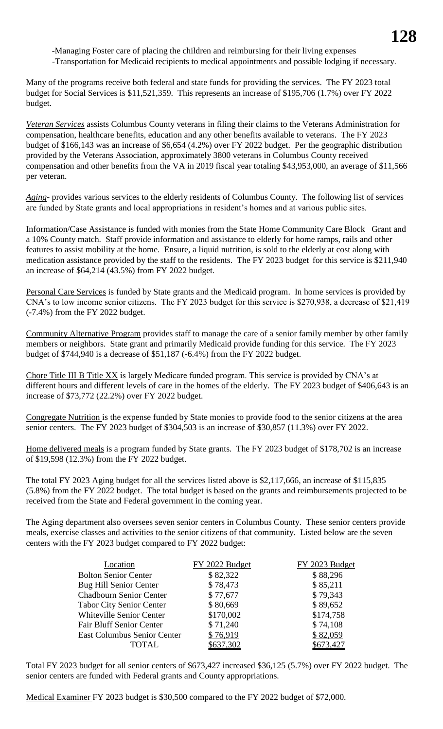-Managing Foster care of placing the children and reimbursing for their living expenses -Transportation for Medicaid recipients to medical appointments and possible lodging if necessary.

Many of the programs receive both federal and state funds for providing the services. The FY 2023 total budget for Social Services is \$11,521,359. This represents an increase of \$195,706 (1.7%) over FY 2022 budget.

*Veteran Services* assists Columbus County veterans in filing their claims to the Veterans Administration for compensation, healthcare benefits, education and any other benefits available to veterans. The FY 2023 budget of \$166,143 was an increase of \$6,654 (4.2%) over FY 2022 budget. Per the geographic distribution provided by the Veterans Association, approximately 3800 veterans in Columbus County received compensation and other benefits from the VA in 2019 fiscal year totaling \$43,953,000, an average of \$11,566 per veteran.

*Aging-* provides various services to the elderly residents of Columbus County. The following list of services are funded by State grants and local appropriations in resident's homes and at various public sites.

Information/Case Assistance is funded with monies from the State Home Community Care Block Grant and a 10% County match. Staff provide information and assistance to elderly for home ramps, rails and other features to assist mobility at the home. Ensure, a liquid nutrition, is sold to the elderly at cost along with medication assistance provided by the staff to the residents. The FY 2023 budget for this service is \$211,940 an increase of \$64,214 (43.5%) from FY 2022 budget.

Personal Care Services is funded by State grants and the Medicaid program. In home services is provided by CNA's to low income senior citizens. The FY 2023 budget for this service is \$270,938, a decrease of \$21,419 (-7.4%) from the FY 2022 budget.

Community Alternative Program provides staff to manage the care of a senior family member by other family members or neighbors. State grant and primarily Medicaid provide funding for this service. The FY 2023 budget of \$744,940 is a decrease of \$51,187 (-6.4%) from the FY 2022 budget.

Chore Title III B Title XX is largely Medicare funded program. This service is provided by CNA's at different hours and different levels of care in the homes of the elderly. The FY 2023 budget of \$406,643 is an increase of \$73,772 (22.2%) over FY 2022 budget.

Congregate Nutrition is the expense funded by State monies to provide food to the senior citizens at the area senior centers. The FY 2023 budget of \$304,503 is an increase of \$30,857 (11.3%) over FY 2022.

Home delivered meals is a program funded by State grants. The FY 2023 budget of \$178,702 is an increase of \$19,598 (12.3%) from the FY 2022 budget.

The total FY 2023 Aging budget for all the services listed above is \$2,117,666, an increase of \$115,835 (5.8%) from the FY 2022 budget. The total budget is based on the grants and reimbursements projected to be received from the State and Federal government in the coming year.

The Aging department also oversees seven senior centers in Columbus County. These senior centers provide meals, exercise classes and activities to the senior citizens of that community. Listed below are the seven centers with the FY 2023 budget compared to FY 2022 budget:

| Location                           | FY 2022 Budget | FY 2023 Budget |
|------------------------------------|----------------|----------------|
| <b>Bolton Senior Center</b>        | \$82,322       | \$88,296       |
| <b>Bug Hill Senior Center</b>      | \$78,473       | \$85,211       |
| <b>Chadbourn Senior Center</b>     | \$77,677       | \$79,343       |
| <b>Tabor City Senior Center</b>    | \$80,669       | \$89,652       |
| <b>Whiteville Senior Center</b>    | \$170,002      | \$174,758      |
| <b>Fair Bluff Senior Center</b>    | \$71,240       | \$74,108       |
| <b>East Columbus Senior Center</b> | \$76,919       | \$82,059       |
| TOTAL                              | \$637,302      | \$673,427      |

Total FY 2023 budget for all senior centers of \$673,427 increased \$36,125 (5.7%) over FY 2022 budget. The senior centers are funded with Federal grants and County appropriations.

Medical Examiner FY 2023 budget is \$30,500 compared to the FY 2022 budget of \$72,000.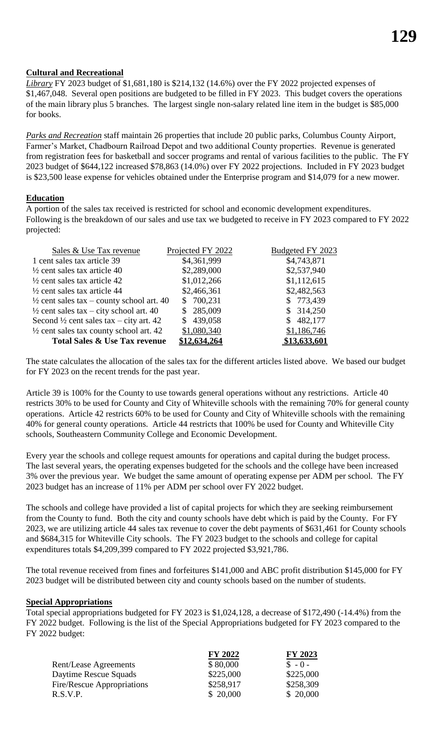## **Cultural and Recreational**

*Library* FY 2023 budget of \$1,681,180 is \$214,132 (14.6%) over the FY 2022 projected expenses of \$1,467,048. Several open positions are budgeted to be filled in FY 2023. This budget covers the operations of the main library plus 5 branches. The largest single non-salary related line item in the budget is \$85,000 for books.

*Parks and Recreation* staff maintain 26 properties that include 20 public parks, Columbus County Airport, Farmer's Market, Chadbourn Railroad Depot and two additional County properties. Revenue is generated from registration fees for basketball and soccer programs and rental of various facilities to the public. The FY 2023 budget of \$644,122 increased \$78,863 (14.0%) over FY 2022 projections. Included in FY 2023 budget is \$23,500 lease expense for vehicles obtained under the Enterprise program and \$14,079 for a new mower.

#### **Education**

A portion of the sales tax received is restricted for school and economic development expenditures. Following is the breakdown of our sales and use tax we budgeted to receive in FY 2023 compared to FY 2022 projected:

| Sales & Use Tax revenue                              | Projected FY 2022 | Budgeted FY 2023 |
|------------------------------------------------------|-------------------|------------------|
| 1 cent sales tax article 39                          | \$4,361,999       | \$4,743,871      |
| $\frac{1}{2}$ cent sales tax article 40              | \$2,289,000       | \$2,537,940      |
| $\frac{1}{2}$ cent sales tax article 42              | \$1,012,266       | \$1,112,615      |
| $\frac{1}{2}$ cent sales tax article 44              | \$2,466,361       | \$2,482,563      |
| $\frac{1}{2}$ cent sales tax – county school art. 40 | \$700,231         | \$773,439        |
| $\frac{1}{2}$ cent sales tax – city school art. 40   | \$285,009         | \$314,250        |
| Second $\frac{1}{2}$ cent sales tax – city art. 42   | \$439,058         | \$482,177        |
| $\frac{1}{2}$ cent sales tax county school art. 42   | \$1,080,340       | \$1,186,746      |
| <b>Total Sales &amp; Use Tax revenue</b>             | \$12,634,264      | \$13,633,601     |

The state calculates the allocation of the sales tax for the different articles listed above. We based our budget for FY 2023 on the recent trends for the past year.

Article 39 is 100% for the County to use towards general operations without any restrictions. Article 40 restricts 30% to be used for County and City of Whiteville schools with the remaining 70% for general county operations. Article 42 restricts 60% to be used for County and City of Whiteville schools with the remaining 40% for general county operations. Article 44 restricts that 100% be used for County and Whiteville City schools, Southeastern Community College and Economic Development.

Every year the schools and college request amounts for operations and capital during the budget process. The last several years, the operating expenses budgeted for the schools and the college have been increased 3% over the previous year. We budget the same amount of operating expense per ADM per school. The FY 2023 budget has an increase of 11% per ADM per school over FY 2022 budget.

The schools and college have provided a list of capital projects for which they are seeking reimbursement from the County to fund. Both the city and county schools have debt which is paid by the County. For FY 2023, we are utilizing article 44 sales tax revenue to cover the debt payments of \$631,461 for County schools and \$684,315 for Whiteville City schools. The FY 2023 budget to the schools and college for capital expenditures totals \$4,209,399 compared to FY 2022 projected \$3,921,786.

The total revenue received from fines and forfeitures \$141,000 and ABC profit distribution \$145,000 for FY 2023 budget will be distributed between city and county schools based on the number of students.

#### **Special Appropriations**

Total special appropriations budgeted for FY 2023 is \$1,024,128, a decrease of \$172,490 (-14.4%) from the FY 2022 budget. Following is the list of the Special Appropriations budgeted for FY 2023 compared to the FY 2022 budget:

|                            | FY 2022   | FY 2023   |
|----------------------------|-----------|-----------|
| Rent/Lease Agreements      | \$80,000  | $S - 0 -$ |
| Daytime Rescue Squads      | \$225,000 | \$225,000 |
| Fire/Rescue Appropriations | \$258,917 | \$258,309 |
| R.S.V.P.                   | \$20,000  | \$20,000  |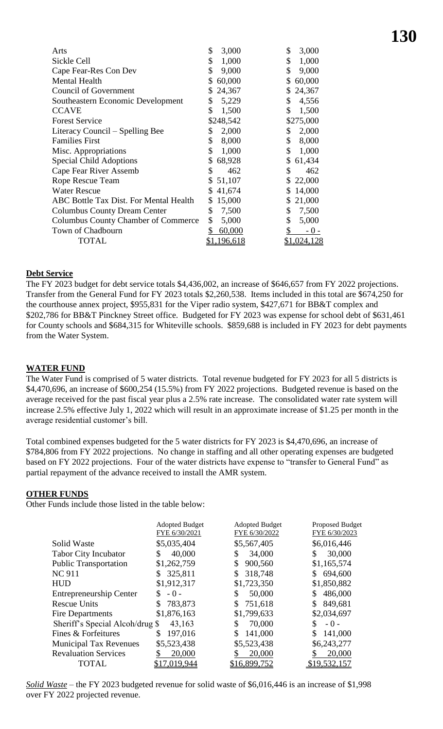| Arts                                          | \$<br>3,000        | \$<br>3,000  |
|-----------------------------------------------|--------------------|--------------|
| Sickle Cell                                   | \$<br>1,000        | \$<br>1,000  |
| Cape Fear-Res Con Dev                         | \$<br>9,000        | \$<br>9,000  |
| Mental Health                                 | 60,000<br>\$       | 60,000<br>\$ |
| <b>Council of Government</b>                  | \$<br>24,367       | 24,367<br>\$ |
| Southeastern Economic Development             | \$<br>5,229        | \$<br>4,556  |
| <b>CCAVE</b>                                  | \$<br>1,500        | \$<br>1,500  |
| <b>Forest Service</b>                         | \$248,542          | \$275,000    |
| Literacy Council – Spelling Bee               | 2,000<br>\$        | 2,000<br>\$  |
| <b>Families First</b>                         | \$<br>8,000        | 8,000<br>\$  |
| Misc. Appropriations                          | \$<br>1,000        | \$<br>1,000  |
| <b>Special Child Adoptions</b>                | \$<br>68,928       | \$<br>61,434 |
| Cape Fear River Assemb                        | \$<br>462          | \$<br>462    |
| <b>Rope Rescue Team</b>                       | 51,107<br>\$       | 22,000<br>\$ |
| <b>Water Rescue</b>                           | 41,674<br>\$       | 14,000<br>\$ |
| <b>ABC Bottle Tax Dist. For Mental Health</b> | 15,000<br>\$       | 21,000<br>\$ |
| <b>Columbus County Dream Center</b>           | \$<br>7,500        | \$<br>7,500  |
| <b>Columbus County Chamber of Commerce</b>    | \$<br>5,000        | \$<br>5,000  |
| Town of Chadbourn                             | 60,000<br>\$       | \$<br>$-0-$  |
| TOTAL                                         | <u>\$1,196,618</u> | \$1,024,128  |
|                                               |                    |              |

#### **Debt Service**

The FY 2023 budget for debt service totals \$4,436,002, an increase of \$646,657 from FY 2022 projections. Transfer from the General Fund for FY 2023 totals \$2,260,538. Items included in this total are \$674,250 for the courthouse annex project, \$955,831 for the Viper radio system, \$427,671 for BB&T complex and \$202,786 for BB&T Pinckney Street office. Budgeted for FY 2023 was expense for school debt of \$631,461 for County schools and \$684,315 for Whiteville schools. \$859,688 is included in FY 2023 for debt payments from the Water System.

#### **WATER FUND**

The Water Fund is comprised of 5 water districts. Total revenue budgeted for FY 2023 for all 5 districts is \$4,470,696, an increase of \$600,254 (15.5%) from FY 2022 projections. Budgeted revenue is based on the average received for the past fiscal year plus a 2.5% rate increase. The consolidated water rate system will increase 2.5% effective July 1, 2022 which will result in an approximate increase of \$1.25 per month in the average residential customer's bill.

Total combined expenses budgeted for the 5 water districts for FY 2023 is \$4,470,696, an increase of \$784,806 from FY 2022 projections. No change in staffing and all other operating expenses are budgeted based on FY 2022 projections. Four of the water districts have expense to "transfer to General Fund" as partial repayment of the advance received to install the AMR system.

#### **OTHER FUNDS**

Other Funds include those listed in the table below:

|                                 | <b>Adopted Budget</b><br>FYE 6/30/2021 | <b>Adopted Budget</b><br>FYE 6/30/2022 | Proposed Budget<br>FYE 6/30/2023 |
|---------------------------------|----------------------------------------|----------------------------------------|----------------------------------|
| Solid Waste                     | \$5,035,404                            | \$5,567,405                            | \$6,016,446                      |
| <b>Tabor City Incubator</b>     | 40,000<br>\$                           | \$<br>34,000                           | 30,000<br>\$                     |
| <b>Public Transportation</b>    | \$1,262,759                            | 900,560<br>\$                          | \$1,165,574                      |
| <b>NC 911</b>                   | 325,811<br>S                           | \$<br>318,748                          | 694,600<br>S.                    |
| <b>HUD</b>                      | \$1,912,317                            | \$1,723,350                            | \$1,850,882                      |
| <b>Entrepreneurship Center</b>  | \$<br>$-0-$                            | \$<br>50,000                           | 486,000                          |
| <b>Rescue Units</b>             | 783,873<br>S                           | \$<br>751,618                          | 849,681                          |
| Fire Departments                | \$1,876,163                            | \$1,799,633                            | \$2,034,697                      |
| Sheriff's Special Alcoh/drug \$ | 43,163                                 | 70,000<br>\$                           | $-0-$                            |
| Fines & Forfeitures             | 197,016<br>\$                          | \$<br>141,000                          | 141,000                          |
| <b>Municipal Tax Revenues</b>   | \$5,523,438                            | \$5,523,438                            | \$6,243,277                      |
| <b>Revaluation Services</b>     | 20,000                                 | 20,000                                 | 20,000                           |
| TOTAL                           | \$17,019,944                           | \$16,899,752                           | \$19,532,157                     |

*Solid Waste* – the FY 2023 budgeted revenue for solid waste of \$6,016,446 is an increase of \$1,998 over FY 2022 projected revenue.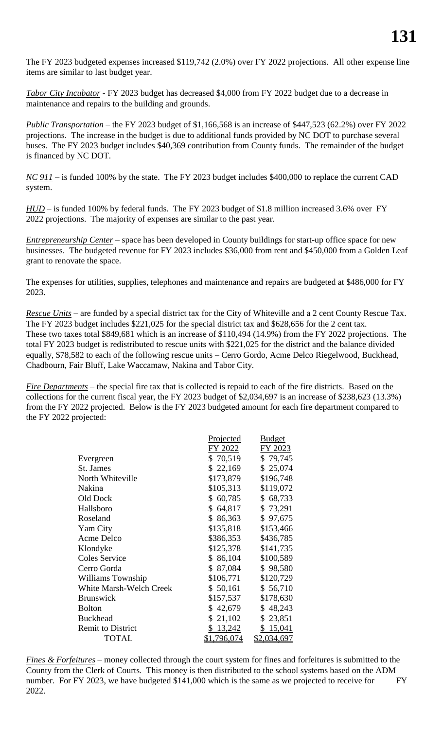The FY 2023 budgeted expenses increased \$119,742 (2.0%) over FY 2022 projections. All other expense line items are similar to last budget year.

*Tabor City Incubator* - FY 2023 budget has decreased \$4,000 from FY 2022 budget due to a decrease in maintenance and repairs to the building and grounds.

*Public Transportation* – the FY 2023 budget of \$1,166,568 is an increase of \$447,523 (62.2%) over FY 2022 projections. The increase in the budget is due to additional funds provided by NC DOT to purchase several buses. The FY 2023 budget includes \$40,369 contribution from County funds. The remainder of the budget is financed by NC DOT.

*NC 911* – is funded 100% by the state. The FY 2023 budget includes \$400,000 to replace the current CAD system.

*HUD* – is funded 100% by federal funds. The FY 2023 budget of \$1.8 million increased 3.6% over FY 2022 projections. The majority of expenses are similar to the past year.

*Entrepreneurship Center* – space has been developed in County buildings for start-up office space for new businesses. The budgeted revenue for FY 2023 includes \$36,000 from rent and \$450,000 from a Golden Leaf grant to renovate the space.

The expenses for utilities, supplies, telephones and maintenance and repairs are budgeted at \$486,000 for FY 2023.

*Rescue Units* – are funded by a special district tax for the City of Whiteville and a 2 cent County Rescue Tax. The FY 2023 budget includes \$221,025 for the special district tax and \$628,656 for the 2 cent tax. These two taxes total \$849,681 which is an increase of \$110,494 (14.9%) from the FY 2022 projections. The total FY 2023 budget is redistributed to rescue units with \$221,025 for the district and the balance divided equally, \$78,582 to each of the following rescue units – Cerro Gordo, Acme Delco Riegelwood, Buckhead, Chadbourn, Fair Bluff, Lake Waccamaw, Nakina and Tabor City.

*Fire Departments* – the special fire tax that is collected is repaid to each of the fire districts. Based on the collections for the current fiscal year, the FY 2023 budget of \$2,034,697 is an increase of \$238,623 (13.3%) from the FY 2022 projected. Below is the FY 2023 budgeted amount for each fire department compared to the FY 2022 projected:

|                                | <u>Projected</u>   | <b>Budget</b> |
|--------------------------------|--------------------|---------------|
|                                | FY 2022            | FY 2023       |
| Evergreen                      | \$70,519           | \$79,745      |
| St. James                      | \$22,169           | \$25,074      |
| North Whiteville               | \$173,879          | \$196,748     |
| Nakina                         | \$105,313          | \$119,072     |
| Old Dock                       | \$60,785           | \$68,733      |
| Hallsboro                      | \$64,817           | \$73,291      |
| Roseland                       | \$86,363           | \$97,675      |
| Yam City                       | \$135,818          | \$153,466     |
| Acme Delco                     | \$386,353          | \$436,785     |
| Klondyke                       | \$125,378          | \$141,735     |
| <b>Coles Service</b>           | \$ 86,104          | \$100,589     |
| Cerro Gorda                    | \$ 87,084          | \$98,580      |
| Williams Township              | \$106,771          | \$120,729     |
| <b>White Marsh-Welch Creek</b> | \$50,161           | \$56,710      |
| <b>Brunswick</b>               | \$157,537          | \$178,630     |
| <b>Bolton</b>                  | \$42,679           | \$48,243      |
| <b>Buckhead</b>                | \$<br>21,102       | \$23,851      |
| <b>Remit to District</b>       | \$<br>13,242       | \$15,041      |
| <b>TOTAL</b>                   | <u>\$1,796,074</u> | \$2,034,697   |

*Fines & Forfeitures* – money collected through the court system for fines and forfeitures is submitted to the County from the Clerk of Courts. This money is then distributed to the school systems based on the ADM number. For FY 2023, we have budgeted \$141,000 which is the same as we projected to receive for FY 2022.